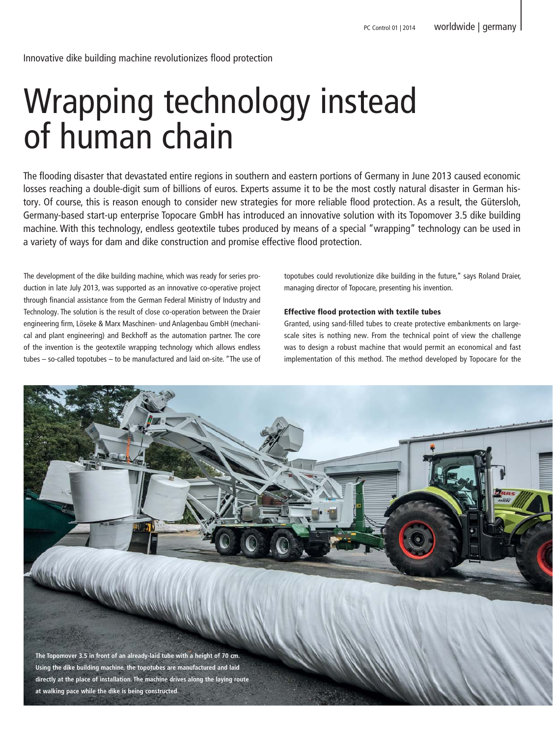Innovative dike building machine revolutionizes flood protection

## Wrapping technology instead of human chain

The flooding disaster that devastated entire regions in southern and eastern portions of Germany in June 2013 caused economic losses reaching a double-digit sum of billions of euros. Experts assume it to be the most costly natural disaster in German history. Of course, this is reason enough to consider new strategies for more reliable flood protection. As a result, the Gütersloh, Germany-based start-up enterprise Topocare GmbH has introduced an innovative solution with its Topomover 3.5 dike building machine. With this technology, endless geotextile tubes produced by means of a special "wrapping" technology can be used in a variety of ways for dam and dike construction and promise effective flood protection.

The development of the dike building machine, which was ready for series production in late July 2013, was supported as an innovative co-operative project through financial assistance from the German Federal Ministry of Industry and Technology. The solution is the result of close co-operation between the Draier engineering firm, Löseke & Marx Maschinen- und Anlagenbau GmbH (mechanical and plant engineering) and Beckhoff as the automation partner. The core of the invention is the geotextile wrapping technology which allows endless tubes – so-called topotubes – to be manufactured and laid on-site. "The use of topotubes could revolutionize dike building in the future," says Roland Draier, managing director of Topocare, presenting his invention.

## Effective flood protection with textile tubes

Granted, using sand-filled tubes to create protective embankments on largescale sites is nothing new. From the technical point of view the challenge was to design a robust machine that would permit an economical and fast implementation of this method. The method developed by Topocare for the

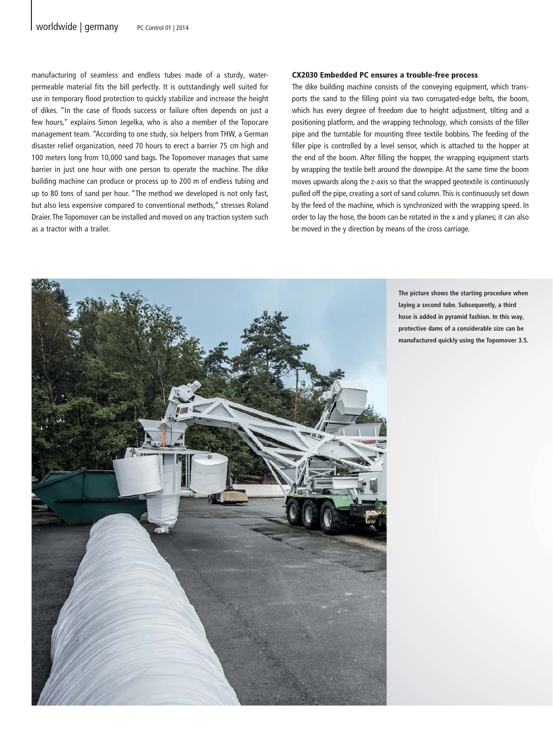## Worldwide | germany PC Control 01 | 2014

manufacturing of seamless and endless tubes made of a sturdy, waterpermeable material fits the bill perfectly. It is outstandingly well suited for use in temporary flood protection to quickly stabilize and increase the height of dikes. "In the case of floods success or failure often depends on just a few hours," explains Simon Jegelka, who is also a member of the Topocare management team. "According to one study, six helpers from THW, a German disaster relief organization, need 70 hours to erect a barrier 75 cm high and 100 meters long from 10,000 sand bags. The Topomover manages that same barrier in just one hour with one person to operate the machine. The dike building machine can produce or process up to 200 m of endless tubing and up to 80 tons of sand per hour. "The method we developed is not only fast, but also less expensive compared to conventional methods," stresses Roland Draier. The Topomover can be installed and moved on any traction system such as a tractor with a trailer.

## CX2030 Embedded PC ensures a trouble-free process

The dike building machine consists of the conveying equipment, which transports the sand to the filling point via two corrugated-edge belts, the boom, which has every degree of freedom due to height adjustment, tilting and a positioning platform, and the wrapping technology, which consists of the filler pipe and the turntable for mounting three textile bobbins. The feeding of the filler pipe is controlled by a level sensor, which is attached to the hopper at the end of the boom. After filling the hopper, the wrapping equipment starts by wrapping the textile belt around the downpipe. At the same time the boom moves upwards along the z-axis so that the wrapped geotextile is continuously pulled off the pipe, creating a sort of sand column. This is continuously set down by the feed of the machine, which is synchronized with the wrapping speed. In order to lay the hose, the boom can be rotated in the x and y planes; it can also be moved in the y direction by means of the cross carriage.



**The picture shows the starting procedure when laying a second tube. Subsequently, a third hose is added in pyramid fashion. In this way, protective dams of a considerable size can be manufactured quickly using the Topomover 3.5.**